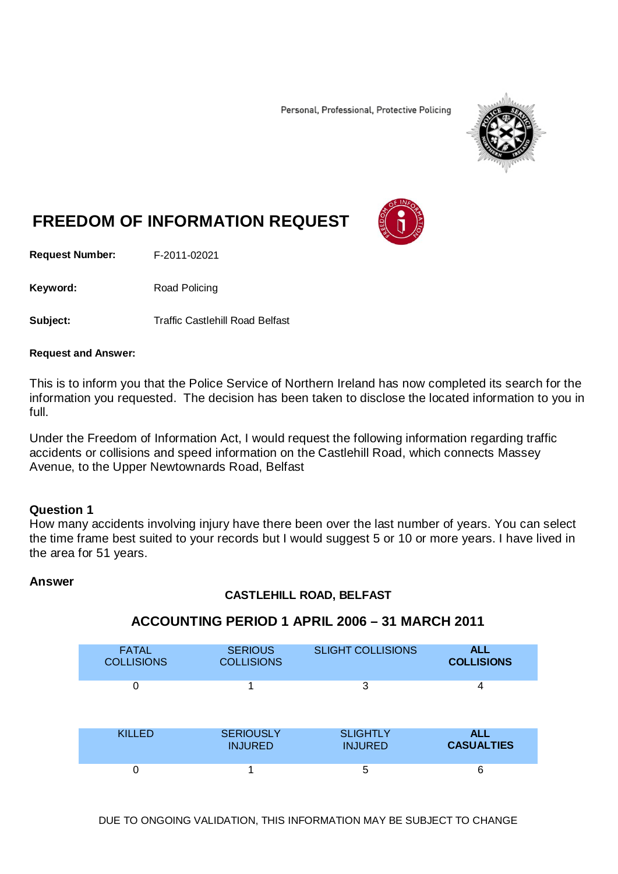Personal, Professional, Protective Policing



# **FREEDOM OF INFORMATION REQUEST**

**Request Number:** F-2011-02021

Keyword: Road Policing

**Subject:** Traffic Castlehill Road Belfast

#### **Request and Answer:**

This is to inform you that the Police Service of Northern Ireland has now completed its search for the information you requested. The decision has been taken to disclose the located information to you in full.

Under the Freedom of Information Act, I would request the following information regarding traffic accidents or collisions and speed information on the Castlehill Road, which connects Massey Avenue, to the Upper Newtownards Road, Belfast

#### **Question 1**

How many accidents involving injury have there been over the last number of years. You can select the time frame best suited to your records but I would suggest 5 or 10 or more years. I have lived in the area for 51 years.

#### **Answer**

#### **CASTLEHILL ROAD, BELFAST**

# **ACCOUNTING PERIOD 1 APRIL 2006 – 31 MARCH 2011**

| <b>FATAL</b>      | <b>SERIOUS</b>    | <b>SLIGHT COLLISIONS</b> | <b>ALL</b>        |
|-------------------|-------------------|--------------------------|-------------------|
| <b>COLLISIONS</b> | <b>COLLISIONS</b> |                          | <b>COLLISIONS</b> |
| 0                 |                   | 3                        | 4                 |
| <b>KILLED</b>     | <b>SERIOUSLY</b>  | <b>SLIGHTLY</b>          | <b>ALL</b>        |
|                   | <b>INJURED</b>    | <b>INJURED</b>           | <b>CASUALTIES</b> |
|                   |                   | 5                        | 6                 |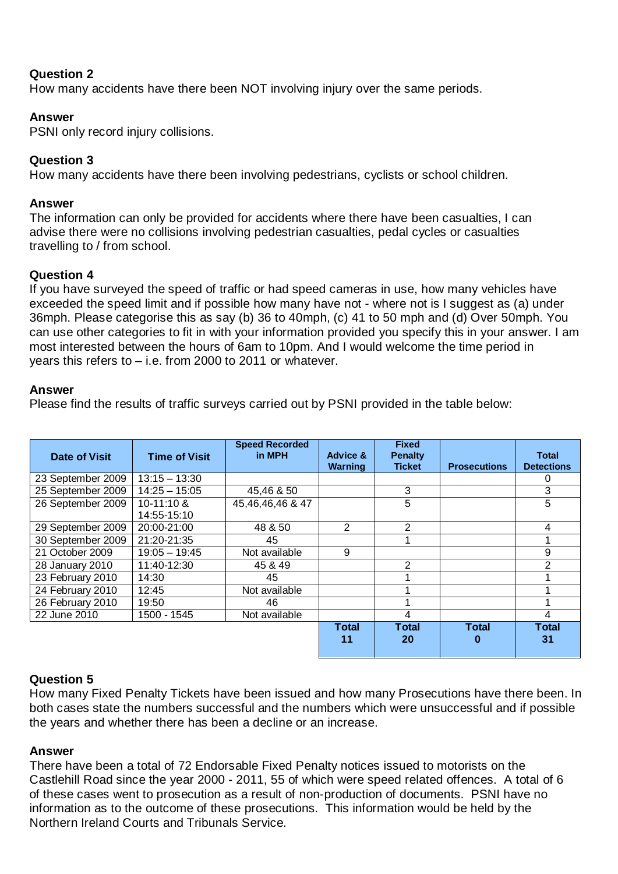# **Question 2**

How many accidents have there been NOT involving injury over the same periods.

# **Answer**

PSNI only record injury collisions.

# **Question 3**

How many accidents have there been involving pedestrians, cyclists or school children.

#### **Answer**

The information can only be provided for accidents where there have been casualties, I can advise there were no collisions involving pedestrian casualties, pedal cycles or casualties travelling to / from school.

#### **Question 4**

If you have surveyed the speed of traffic or had speed cameras in use, how many vehicles have exceeded the speed limit and if possible how many have not - where not is I suggest as (a) under 36mph. Please categorise this as say (b) 36 to 40mph, (c) 41 to 50 mph and (d) Over 50mph. You can use other categories to fit in with your information provided you specify this in your answer. I am most interested between the hours of 6am to 10pm. And I would welcome the time period in years this refers to – i.e. from 2000 to 2011 or whatever.

#### **Answer**

Please find the results of traffic surveys carried out by PSNI provided in the table below:

| Date of Visit     | <b>Time of Visit</b> | <b>Speed Recorded</b><br>in MPH | <b>Advice &amp;</b><br><b>Warning</b> | <b>Fixed</b><br>Penalty<br><b>Ticket</b> | <b>Prosecutions</b> | <b>Total</b><br><b>Detections</b> |
|-------------------|----------------------|---------------------------------|---------------------------------------|------------------------------------------|---------------------|-----------------------------------|
| 23 September 2009 | $13:15 - 13:30$      |                                 |                                       |                                          |                     | 0                                 |
| 25 September 2009 | $14:25 - 15:05$      | 45,46 & 50                      |                                       | 3                                        |                     | 3                                 |
| 26 September 2009 | 10-11:10 &           | 45,46,46,46 & 47                |                                       | 5                                        |                     | 5                                 |
|                   | 14:55-15:10          |                                 |                                       |                                          |                     |                                   |
| 29 September 2009 | 20:00-21:00          | 48 & 50                         | 2                                     | 2                                        |                     | 4                                 |
| 30 September 2009 | 21:20-21:35          | 45                              |                                       |                                          |                     |                                   |
| 21 October 2009   | $19:05 - 19:45$      | Not available                   | 9                                     |                                          |                     | 9                                 |
| 28 January 2010   | 11:40-12:30          | 45 & 49                         |                                       | 2                                        |                     | 2                                 |
| 23 February 2010  | 14:30                | 45                              |                                       |                                          |                     |                                   |
| 24 February 2010  | 12:45                | Not available                   |                                       |                                          |                     |                                   |
| 26 February 2010  | 19:50                | 46                              |                                       |                                          |                     |                                   |
| 22 June 2010      | 1500 - 1545          | Not available                   |                                       | 4                                        |                     | 4                                 |
|                   |                      |                                 | <b>Total</b><br>11                    | <b>Total</b><br>20                       | <b>Total</b><br>0   | <b>Total</b><br>31                |

#### **Question 5**

How many Fixed Penalty Tickets have been issued and how many Prosecutions have there been. In both cases state the numbers successful and the numbers which were unsuccessful and if possible the years and whether there has been a decline or an increase.

#### **Answer**

There have been a total of 72 Endorsable Fixed Penalty notices issued to motorists on the Castlehill Road since the year 2000 - 2011, 55 of which were speed related offences. A total of 6 of these cases went to prosecution as a result of non-production of documents. PSNI have no information as to the outcome of these prosecutions. This information would be held by the Northern Ireland Courts and Tribunals Service.